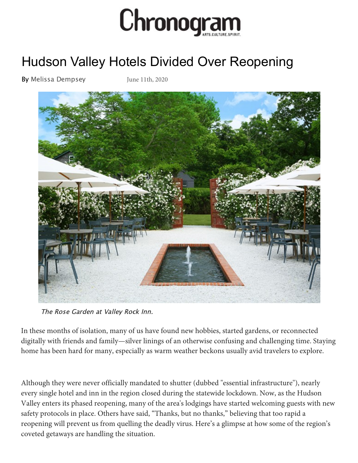

## Hu[dson Valley Hotels Divided Over Reopening](https://media1.fdncms.com/chronogram/imager/u/original/10754734/2020_best_hudson_valley_wedding_venues_valley_rock_inn.jpg)

By Melissa Dempsey [June 11th, 2020](https://www.chronogram.com/author/melissa-dempsey)



The Rose Garden at Valley Rock Inn.

In these months of isolation, many of us have found new hobbies, started gardens, or reconnected digitally with friends and family—silver linings of an otherwise confusing and challenging time. Staying home has been hard for many, especially as warm weather beckons usually avid travelers to explore.

Although they were never officially mandated to shutter (dubbed "essential infrastructure"), nearly every single hotel and inn in the region closed during the statewide lockdown. Now, as the Hudson Valley enters its phased reopening, many of the area's lodgings have started welcoming guests with new safety protocols in place. Others have said, "Thanks, but no thanks," believing that too rapid a reopening will prevent us from quelling the deadly virus. Here's a glimpse at how some of the region's coveted getaways are handling the situation.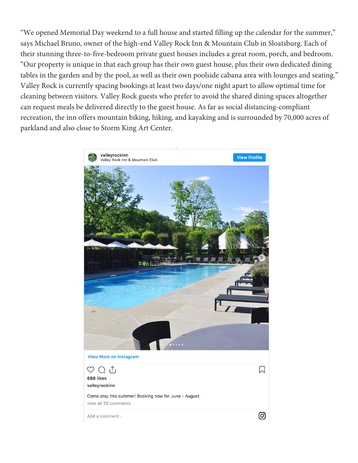"We opened Memorial Day weekend to a full house and started filling up the calendar for the summer," says Michael Bruno, owner of the high-end Valley Rock Inn & Mountain Club in Sloatsburg. Each of their stunning three-to-five-bedroom private guest houses includes a great room, porch, and bedroom. "Our property is unique in that each group has their own guest house, plus their own dedicated dining tables in the garden and by the pool, as well as their own poolside cabana area with lounges and seating." Valley Rock is currently spacing bookings at least two days/one night apart to allow optimal time for cleaning between visitors. Valley Rock guests who prefer to avoid the shared dining spaces altogether can request meals be delivered directly to the guest house. As far as social distancing-compliant recreation, the inn offers mountain biking, hiking, and kayaking and is surrounded by 70,000 acres of parkland and also close to Storm King Art Center.

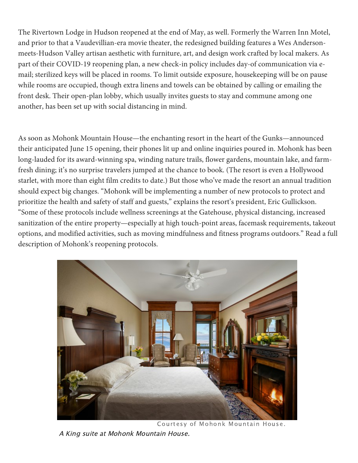The Rivertown Lodge in Hudson reopened at the end of May, as well. Formerly the Warren Inn Motel, and prior to that a Vaudevillian-era movie theater, the redesigned building features a Wes Andersonmeets-Hudson Valley artisan aesthetic with furniture, art, and design work crafted by local makers. As part of their COVID-19 reopening plan, a new check-in policy includes day-of communication via email; sterilized keys will be placed in rooms. To limit outside exposure, housekeeping will be on pause while rooms are occupied, though extra linens and towels can be obtained by calling or emailing the front desk. Their open-plan lobby, which usually invites guests to stay and commune among one another, has been set up with social distancing in mind.

As soon as Mohonk Mountain House—the enchanting resort in the heart of the Gunks—announced their anticipated June 15 opening, their phones lit up and online inquiries poured in. Mohonk has been long-lauded for its award-winning spa, winding nature trails, flower gardens, mountain lake, and farmfresh dining; it's no surprise travelers jumped at the chance to book. (The resort is even a Hollywood starlet, with more than eight film credits to date.) But those who've made the resort an annual tradition should expect big changes. "Mohonk will be implementing a number of new protocols to protect and prioritize the health and safety of staff and guests," explains the resort's president, Eric Gullickson. "Some of these protocols include wellness screenings at the Gatehouse, physical distancing, increased sanitization of the entire property—especially at high touch-point areas, facemask requirements, takeout options, and modified activities, such as moving mindfulness and fitness programs outdoors." Read a full description of Mohonk's reopening protocols.



Courtesy of Mohonk Mountain House. A King suite at Mohonk Mountain House.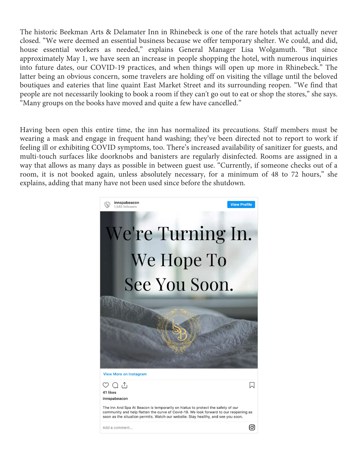The his[toric Beekman Arts & Delamater Inn in Rhinebeck is one of the rare hotels that actuall](https://media2.fdncms.com/chronogram/imager/u/original/10754737/victorian-king-mountain_copy.jpg)y never closed. "We were deemed an essential business because we offer temporary shelter. We could, and did, house essential workers as needed," explains General Manager Lisa Wolgamuth. "But since approximately May 1, we have seen an increase in people shopping the hotel, with numerous inquiries into future dates, our COVID-19 practices, and when things will open up more in Rhinebeck." The latter being an obvious concern, some travelers are holding off on visiting the village until the beloved boutiques and eateries that line quaint East Market Street and its surrounding reopen. "We find that people are not necessarily looking to book a room if they can't go out to eat or shop the stores," she says. "Many groups on the books have moved and quite a few have cancelled."

Having been open this entire time, the inn has normalized its precautions. Staff members must be wearing a mask and engage in frequent hand washing; they've been directed not to report to work if feeling ill or exhibiting COVID symptoms, too. There's increased availability of sanitizer for guests, and multi-touch surfaces like doorknobs and banisters are regularly disinfected. Rooms are assigned in a way that allows as many days as possible in between guest use. "Currently, if someone checks out of a room, it is not booked again, unless absolutely necessary, for a minimum of 48 to 72 hours," she explains, adding that many have not been used since before the shutdown.

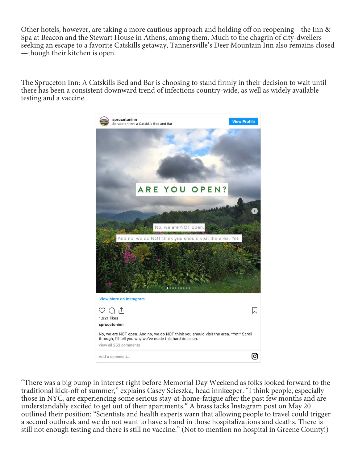[Other hotels, however, are taking a more cautious approach and holding off on reopening—the](http://deermountaininn.com/) Inn & Spa at Beacon and the Stewart House in Athens, among them. Much to the chagrin of city-dwellers seeking an escape to a favorite Catskills getaway, Tannersville's Deer Mountain Inn also remains closed —though their kitchen is open.

The Spruceton Inn: A Catskills Bed and Bar is choosing to stand firmly in their decision to wait until there has been a consistent downward trend of infections country-wide, as well as widely available testing and a vaccine.



"There was a big bump in interest right before Memorial Day Weekend as folks looked forward to the traditional kick-off of summer," explains Casey Scieszka, head innkeeper. "I think people, especially those in NYC, are experiencing some serious stay-at-home-fatigue after the past few months and are understandably excited to get out of their apartments." A brass tacks Instagram post on May 20 outlined their position: "Scientists and health experts warn that allowing people to travel could trigger a second outbreak and we do not want to have a hand in those hospitalizations and deaths. There is still not enough testing and there is still no vaccine." (Not to mention no hospital in Greene County!)